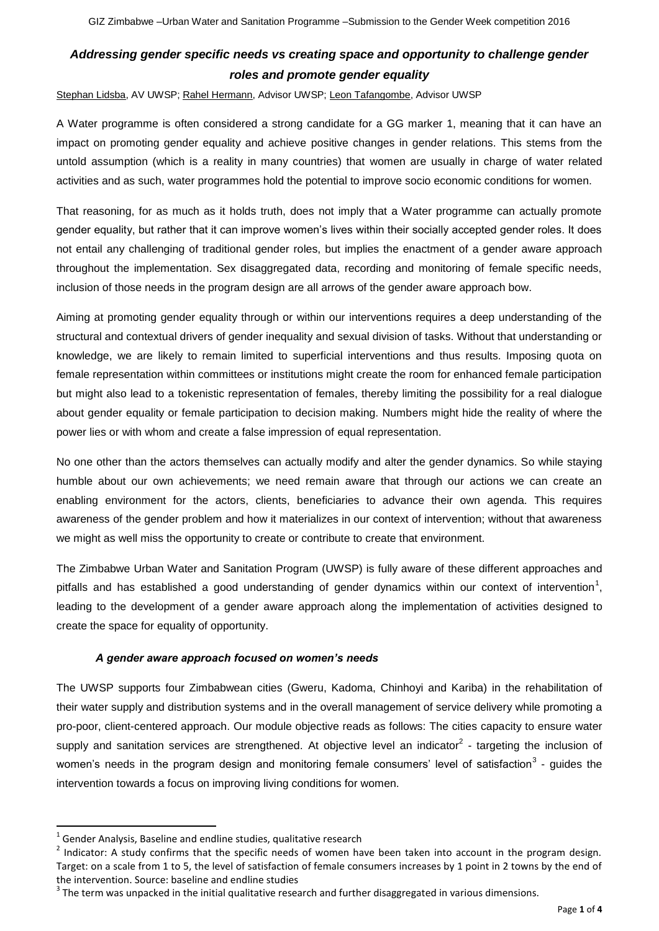## *Addressing gender specific needs vs creating space and opportunity to challenge gender roles and promote gender equality*

Stephan Lidsba, AV UWSP; Rahel Hermann, Advisor UWSP; Leon Tafangombe, Advisor UWSP

A Water programme is often considered a strong candidate for a GG marker 1, meaning that it can have an impact on promoting gender equality and achieve positive changes in gender relations. This stems from the untold assumption (which is a reality in many countries) that women are usually in charge of water related activities and as such, water programmes hold the potential to improve socio economic conditions for women.

That reasoning, for as much as it holds truth, does not imply that a Water programme can actually promote gender equality, but rather that it can improve women's lives within their socially accepted gender roles. It does not entail any challenging of traditional gender roles, but implies the enactment of a gender aware approach throughout the implementation. Sex disaggregated data, recording and monitoring of female specific needs, inclusion of those needs in the program design are all arrows of the gender aware approach bow.

Aiming at promoting gender equality through or within our interventions requires a deep understanding of the structural and contextual drivers of gender inequality and sexual division of tasks. Without that understanding or knowledge, we are likely to remain limited to superficial interventions and thus results. Imposing quota on female representation within committees or institutions might create the room for enhanced female participation but might also lead to a tokenistic representation of females, thereby limiting the possibility for a real dialogue about gender equality or female participation to decision making. Numbers might hide the reality of where the power lies or with whom and create a false impression of equal representation.

No one other than the actors themselves can actually modify and alter the gender dynamics. So while staying humble about our own achievements; we need remain aware that through our actions we can create an enabling environment for the actors, clients, beneficiaries to advance their own agenda. This requires awareness of the gender problem and how it materializes in our context of intervention; without that awareness we might as well miss the opportunity to create or contribute to create that environment.

The Zimbabwe Urban Water and Sanitation Program (UWSP) is fully aware of these different approaches and pitfalls and has established a good understanding of gender dynamics within our context of intervention<sup>1</sup>, leading to the development of a gender aware approach along the implementation of activities designed to create the space for equality of opportunity.

## *A gender aware approach focused on women's needs*

The UWSP supports four Zimbabwean cities (Gweru, Kadoma, Chinhoyi and Kariba) in the rehabilitation of their water supply and distribution systems and in the overall management of service delivery while promoting a pro-poor, client-centered approach. Our module objective reads as follows: The cities capacity to ensure water supply and sanitation services are strengthened. At objective level an indicator<sup>2</sup> - targeting the inclusion of women's needs in the program design and monitoring female consumers' level of satisfaction<sup>3</sup> - guides the intervention towards a focus on improving living conditions for women.

**.** 

 $<sup>1</sup>$  Gender Analysis, Baseline and endline studies, qualitative research</sup>

 $2$  Indicator: A study confirms that the specific needs of women have been taken into account in the program design. Target: on a scale from 1 to 5, the level of satisfaction of female consumers increases by 1 point in 2 towns by the end of the intervention. Source: baseline and endline studies

 $3$  The term was unpacked in the initial qualitative research and further disaggregated in various dimensions.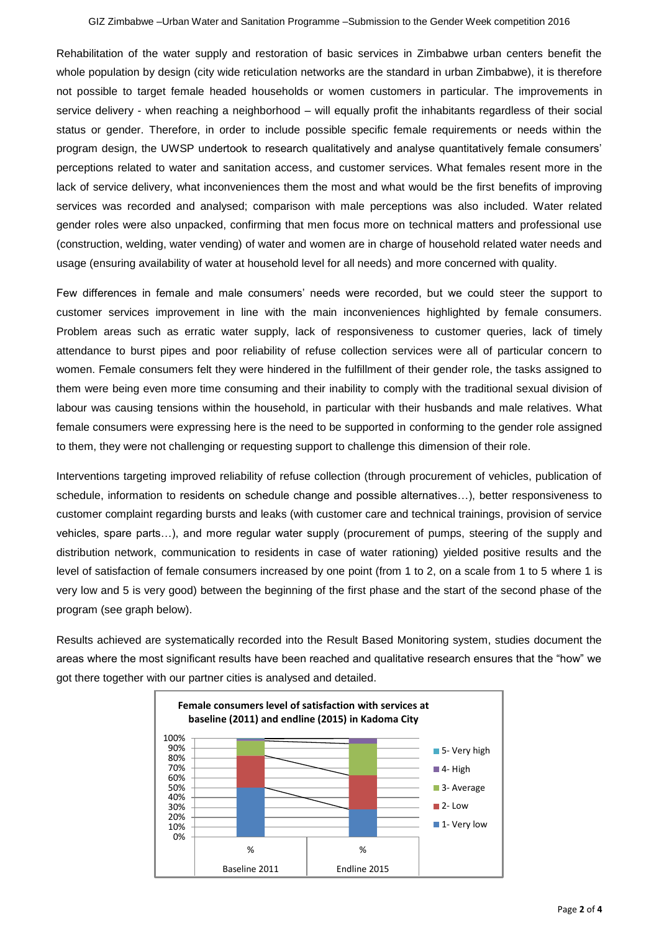Rehabilitation of the water supply and restoration of basic services in Zimbabwe urban centers benefit the whole population by design (city wide reticulation networks are the standard in urban Zimbabwe), it is therefore not possible to target female headed households or women customers in particular. The improvements in service delivery - when reaching a neighborhood – will equally profit the inhabitants regardless of their social status or gender. Therefore, in order to include possible specific female requirements or needs within the program design, the UWSP undertook to research qualitatively and analyse quantitatively female consumers' perceptions related to water and sanitation access, and customer services. What females resent more in the lack of service delivery, what inconveniences them the most and what would be the first benefits of improving services was recorded and analysed; comparison with male perceptions was also included. Water related gender roles were also unpacked, confirming that men focus more on technical matters and professional use (construction, welding, water vending) of water and women are in charge of household related water needs and usage (ensuring availability of water at household level for all needs) and more concerned with quality.

Few differences in female and male consumers' needs were recorded, but we could steer the support to customer services improvement in line with the main inconveniences highlighted by female consumers. Problem areas such as erratic water supply, lack of responsiveness to customer queries, lack of timely attendance to burst pipes and poor reliability of refuse collection services were all of particular concern to women. Female consumers felt they were hindered in the fulfillment of their gender role, the tasks assigned to them were being even more time consuming and their inability to comply with the traditional sexual division of labour was causing tensions within the household, in particular with their husbands and male relatives. What female consumers were expressing here is the need to be supported in conforming to the gender role assigned to them, they were not challenging or requesting support to challenge this dimension of their role.

Interventions targeting improved reliability of refuse collection (through procurement of vehicles, publication of schedule, information to residents on schedule change and possible alternatives…), better responsiveness to customer complaint regarding bursts and leaks (with customer care and technical trainings, provision of service vehicles, spare parts…), and more regular water supply (procurement of pumps, steering of the supply and distribution network, communication to residents in case of water rationing) yielded positive results and the level of satisfaction of female consumers increased by one point (from 1 to 2, on a scale from 1 to 5 where 1 is very low and 5 is very good) between the beginning of the first phase and the start of the second phase of the program (see graph below).

Results achieved are systematically recorded into the Result Based Monitoring system, studies document the areas where the most significant results have been reached and qualitative research ensures that the "how" we got there together with our partner cities is analysed and detailed.

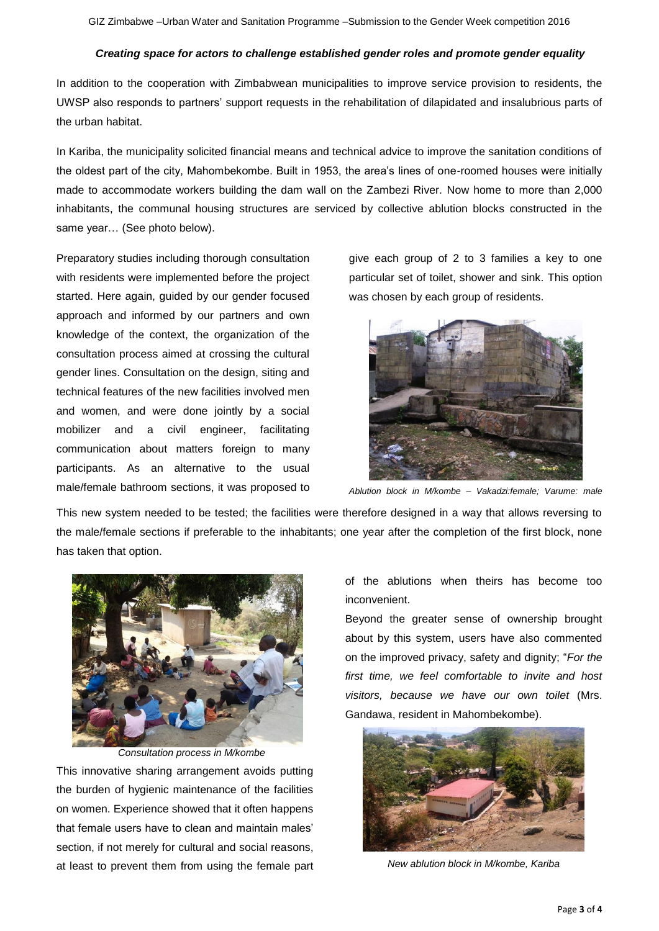## *Creating space for actors to challenge established gender roles and promote gender equality*

In addition to the cooperation with Zimbabwean municipalities to improve service provision to residents, the UWSP also responds to partners' support requests in the rehabilitation of dilapidated and insalubrious parts of the urban habitat.

In Kariba, the municipality solicited financial means and technical advice to improve the sanitation conditions of the oldest part of the city, Mahombekombe. Built in 1953, the area's lines of one-roomed houses were initially made to accommodate workers building the dam wall on the Zambezi River. Now home to more than 2,000 inhabitants, the communal housing structures are serviced by collective ablution blocks constructed in the same year… (See photo below).

Preparatory studies including thorough consultation with residents were implemented before the project started. Here again, guided by our gender focused approach and informed by our partners and own knowledge of the context, the organization of the consultation process aimed at crossing the cultural gender lines. Consultation on the design, siting and technical features of the new facilities involved men and women, and were done jointly by a social mobilizer and a civil engineer, facilitating communication about matters foreign to many participants. As an alternative to the usual male/female bathroom sections, it was proposed to

give each group of 2 to 3 families a key to one particular set of toilet, shower and sink. This option was chosen by each group of residents.



*Ablution block in M/kombe – Vakadzi:female; Varume: male*

This new system needed to be tested; the facilities were therefore designed in a way that allows reversing to the male/female sections if preferable to the inhabitants; one year after the completion of the first block, none has taken that option.



*Consultation process in M/kombe* This innovative sharing arrangement avoids putting the burden of hygienic maintenance of the facilities on women. Experience showed that it often happens that female users have to clean and maintain males' section, if not merely for cultural and social reasons, at least to prevent them from using the female part of the ablutions when theirs has become too inconvenient.

Beyond the greater sense of ownership brought about by this system, users have also commented on the improved privacy, safety and dignity; "*For the first time, we feel comfortable to invite and host visitors, because we have our own toilet* (Mrs. Gandawa, resident in Mahombekombe).



*New ablution block in M/kombe, Kariba*